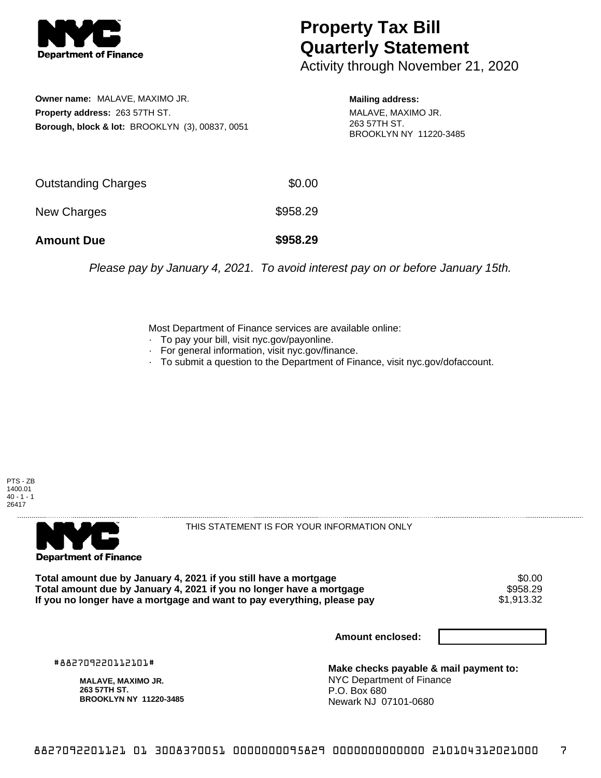

## **Property Tax Bill Quarterly Statement**

Activity through November 21, 2020

**Owner name:** MALAVE, MAXIMO JR. **Property address:** 263 57TH ST. **Borough, block & lot:** BROOKLYN (3), 00837, 0051

**Mailing address:** MALAVE, MAXIMO JR. 263 57TH ST. BROOKLYN NY 11220-3485

| <b>Amount Due</b>          | \$958.29 |
|----------------------------|----------|
| New Charges                | \$958.29 |
| <b>Outstanding Charges</b> | \$0.00   |

Please pay by January 4, 2021. To avoid interest pay on or before January 15th.

Most Department of Finance services are available online:

- · To pay your bill, visit nyc.gov/payonline.
- For general information, visit nyc.gov/finance.
- · To submit a question to the Department of Finance, visit nyc.gov/dofaccount.





THIS STATEMENT IS FOR YOUR INFORMATION ONLY

Total amount due by January 4, 2021 if you still have a mortgage \$0.00<br>Total amount due by January 4, 2021 if you no longer have a mortgage \$958.29 **Total amount due by January 4, 2021 if you no longer have a mortgage \$958.29**<br>If you no longer have a mortgage and want to pay everything, please pay \$1,913.32 If you no longer have a mortgage and want to pay everything, please pay

**Amount enclosed:**

#882709220112101#

**MALAVE, MAXIMO JR. 263 57TH ST. BROOKLYN NY 11220-3485**

**Make checks payable & mail payment to:** NYC Department of Finance P.O. Box 680 Newark NJ 07101-0680